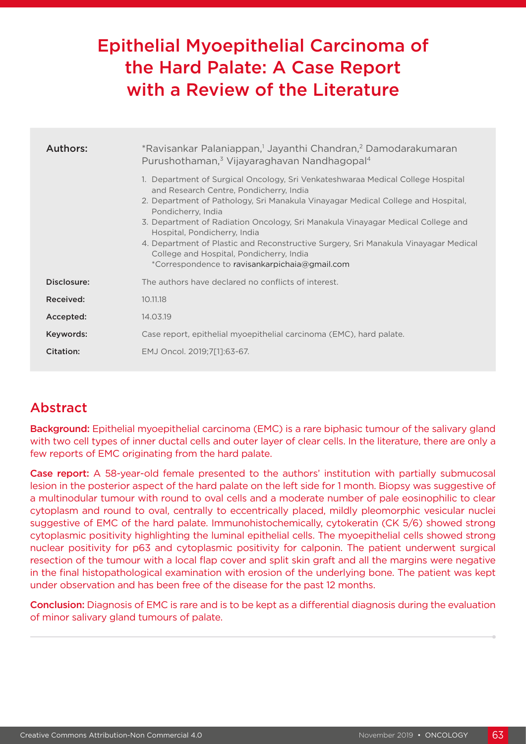# Epithelial Myoepithelial Carcinoma of the Hard Palate: A Case Report with a Review of the Literature

| Authors:    | *Ravisankar Palaniappan, <sup>1</sup> Jayanthi Chandran, <sup>2</sup> Damodarakumaran<br>Purushothaman, <sup>3</sup> Vijayaraghavan Nandhagopal <sup>4</sup><br>1. Department of Surgical Oncology, Sri Venkateshwaraa Medical College Hospital<br>and Research Centre, Pondicherry, India<br>2. Department of Pathology, Sri Manakula Vinayagar Medical College and Hospital,<br>Pondicherry, India<br>3. Department of Radiation Oncology, Sri Manakula Vinayagar Medical College and<br>Hospital, Pondicherry, India<br>4. Department of Plastic and Reconstructive Surgery, Sri Manakula Vinayagar Medical<br>College and Hospital, Pondicherry, India<br>*Correspondence to ravisankarpichaia@gmail.com |
|-------------|--------------------------------------------------------------------------------------------------------------------------------------------------------------------------------------------------------------------------------------------------------------------------------------------------------------------------------------------------------------------------------------------------------------------------------------------------------------------------------------------------------------------------------------------------------------------------------------------------------------------------------------------------------------------------------------------------------------|
| Disclosure: | The authors have declared no conflicts of interest.                                                                                                                                                                                                                                                                                                                                                                                                                                                                                                                                                                                                                                                          |
| Received:   | 10.11.18                                                                                                                                                                                                                                                                                                                                                                                                                                                                                                                                                                                                                                                                                                     |
| Accepted:   | 14.03.19                                                                                                                                                                                                                                                                                                                                                                                                                                                                                                                                                                                                                                                                                                     |
| Keywords:   | Case report, epithelial myoepithelial carcinoma (EMC), hard palate.                                                                                                                                                                                                                                                                                                                                                                                                                                                                                                                                                                                                                                          |
| Citation:   | EMJ Oncol. 2019;7[1]:63-67.                                                                                                                                                                                                                                                                                                                                                                                                                                                                                                                                                                                                                                                                                  |

# Abstract

Background: Epithelial myoepithelial carcinoma (EMC) is a rare biphasic tumour of the salivary gland with two cell types of inner ductal cells and outer layer of clear cells. In the literature, there are only a few reports of EMC originating from the hard palate.

Case report: A 58-year-old female presented to the authors' institution with partially submucosal lesion in the posterior aspect of the hard palate on the left side for 1 month. Biopsy was suggestive of a multinodular tumour with round to oval cells and a moderate number of pale eosinophilic to clear cytoplasm and round to oval, centrally to eccentrically placed, mildly pleomorphic vesicular nuclei suggestive of EMC of the hard palate. Immunohistochemically, cytokeratin (CK 5/6) showed strong cytoplasmic positivity highlighting the luminal epithelial cells. The myoepithelial cells showed strong nuclear positivity for p63 and cytoplasmic positivity for calponin. The patient underwent surgical resection of the tumour with a local flap cover and split skin graft and all the margins were negative in the final histopathological examination with erosion of the underlying bone. The patient was kept under observation and has been free of the disease for the past 12 months.

Conclusion: Diagnosis of EMC is rare and is to be kept as a differential diagnosis during the evaluation of minor salivary gland tumours of palate.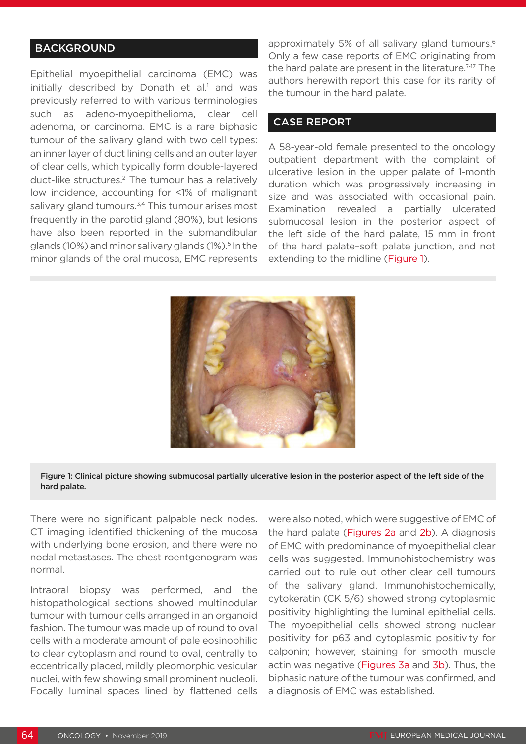# **BACKGROUND**

Epithelial myoepithelial carcinoma (EMC) was initially described by Donath et al.<sup>1</sup> and was previously referred to with various terminologies such as adeno-myoepithelioma, clear cell adenoma, or carcinoma. EMC is a rare biphasic tumour of the salivary gland with two cell types: an inner layer of duct lining cells and an outer layer of clear cells, which typically form double-layered duct-like structures.2 The tumour has a relatively low incidence, accounting for <1% of malignant salivary gland tumours.<sup>3,4</sup> This tumour arises most frequently in the parotid gland (80%), but lesions have also been reported in the submandibular glands (10%) and minor salivary glands (1%).<sup>5</sup> In the minor glands of the oral mucosa, EMC represents

approximately 5% of all salivary gland tumours.<sup>6</sup> Only a few case reports of EMC originating from the hard palate are present in the literature.<sup>7-17</sup> The authors herewith report this case for its rarity of the tumour in the hard palate.

#### CASE REPORT

A 58-year-old female presented to the oncology outpatient department with the complaint of ulcerative lesion in the upper palate of 1-month duration which was progressively increasing in size and was associated with occasional pain. Examination revealed a partially ulcerated submucosal lesion in the posterior aspect of the left side of the hard palate, 15 mm in front of the hard palate–soft palate junction, and not extending to the midline (Figure 1).



#### Figure 1: Clinical picture showing submucosal partially ulcerative lesion in the posterior aspect of the left side of the hard palate.

There were no significant palpable neck nodes. CT imaging identified thickening of the mucosa with underlying bone erosion, and there were no nodal metastases. The chest roentgenogram was normal.

Intraoral biopsy was performed, and the histopathological sections showed multinodular tumour with tumour cells arranged in an organoid fashion. The tumour was made up of round to oval cells with a moderate amount of pale eosinophilic to clear cytoplasm and round to oval, centrally to eccentrically placed, mildly pleomorphic vesicular nuclei, with few showing small prominent nucleoli. Focally luminal spaces lined by flattened cells were also noted, which were suggestive of EMC of the hard palate (Figures 2a and 2b). A diagnosis of EMC with predominance of myoepithelial clear cells was suggested. Immunohistochemistry was carried out to rule out other clear cell tumours of the salivary gland. Immunohistochemically, cytokeratin (CK 5/6) showed strong cytoplasmic positivity highlighting the luminal epithelial cells. The myoepithelial cells showed strong nuclear positivity for p63 and cytoplasmic positivity for calponin; however, staining for smooth muscle actin was negative (Figures 3a and 3b). Thus, the biphasic nature of the tumour was confirmed, and a diagnosis of EMC was established.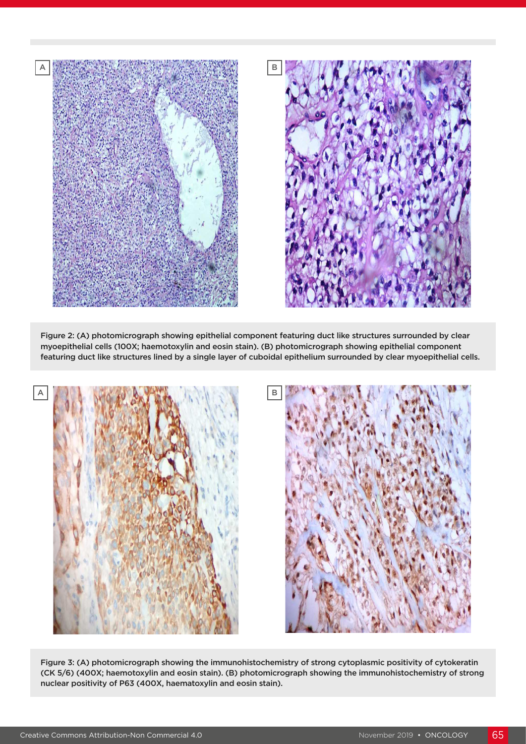



Figure 2: (A) photomicrograph showing epithelial component featuring duct like structures surrounded by clear myoepithelial cells (100X; haemotoxylin and eosin stain). (B) photomicrograph showing epithelial component featuring duct like structures lined by a single layer of cuboidal epithelium surrounded by clear myoepithelial cells.



Figure 3: (A) photomicrograph showing the immunohistochemistry of strong cytoplasmic positivity of cytokeratin (CK 5/6) (400X; haemotoxylin and eosin stain). (B) photomicrograph showing the immunohistochemistry of strong nuclear positivity of P63 (400X, haematoxylin and eosin stain).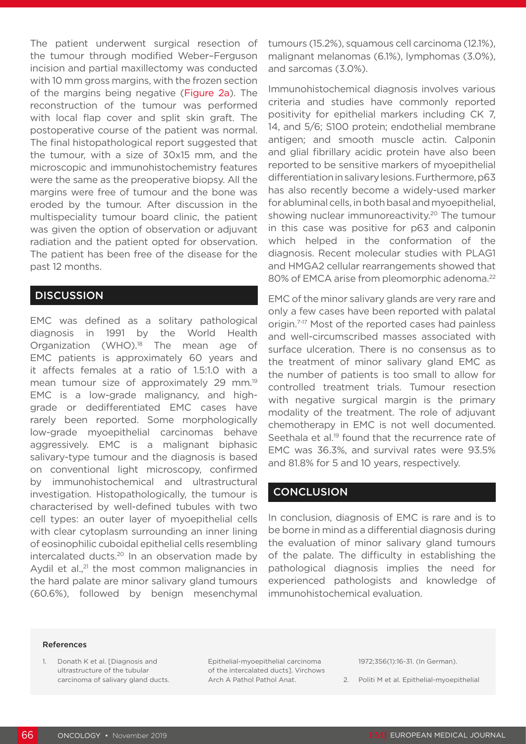The patient underwent surgical resection of the tumour through modified Weber–Ferguson incision and partial maxillectomy was conducted with 10 mm gross margins, with the frozen section of the margins being negative (Figure 2a). The reconstruction of the tumour was performed with local flap cover and split skin graft. The postoperative course of the patient was normal. The final histopathological report suggested that the tumour, with a size of 30x15 mm, and the microscopic and immunohistochemistry features were the same as the preoperative biopsy. All the margins were free of tumour and the bone was eroded by the tumour. After discussion in the multispeciality tumour board clinic, the patient was given the option of observation or adjuvant radiation and the patient opted for observation. The patient has been free of the disease for the past 12 months.

## **DISCUSSION**

EMC was defined as a solitary pathological diagnosis in 1991 by the World Health Organization (WHO).<sup>18</sup> The mean age of EMC patients is approximately 60 years and it affects females at a ratio of 1.5:1.0 with a mean tumour size of approximately 29 mm.<sup>19</sup> EMC is a low-grade malignancy, and highgrade or dedifferentiated EMC cases have rarely been reported. Some morphologically low-grade myoepithelial carcinomas behave aggressively. EMC is a malignant biphasic salivary-type tumour and the diagnosis is based on conventional light microscopy, confirmed by immunohistochemical and ultrastructural investigation. Histopathologically, the tumour is characterised by well-defined tubules with two cell types: an outer layer of myoepithelial cells with clear cytoplasm surrounding an inner lining of eosinophilic cuboidal epithelial cells resembling intercalated ducts.<sup>20</sup> In an observation made by Aydil et al. $21$  the most common malignancies in the hard palate are minor salivary gland tumours (60.6%), followed by benign mesenchymal tumours (15.2%), squamous cell carcinoma (12.1%), malignant melanomas (6.1%), lymphomas (3.0%), and sarcomas (3.0%).

Immunohistochemical diagnosis involves various criteria and studies have commonly reported positivity for epithelial markers including CK 7, 14, and 5/6; S100 protein; endothelial membrane antigen; and smooth muscle actin. Calponin and glial fibrillary acidic protein have also been reported to be sensitive markers of myoepithelial differentiation in salivary lesions. Furthermore, p63 has also recently become a widely-used marker for abluminal cells, in both basal and myoepithelial, showing nuclear immunoreactivity.<sup>20</sup> The tumour in this case was positive for p63 and calponin which helped in the conformation of the diagnosis. Recent molecular studies with PLAG1 and HMGA2 cellular rearrangements showed that 80% of EMCA arise from pleomorphic adenoma.<sup>22</sup>

EMC of the minor salivary glands are very rare and only a few cases have been reported with palatal origin.7-17 Most of the reported cases had painless and well-circumscribed masses associated with surface ulceration. There is no consensus as to the treatment of minor salivary gland EMC as the number of patients is too small to allow for controlled treatment trials. Tumour resection with negative surgical margin is the primary modality of the treatment. The role of adjuvant chemotherapy in EMC is not well documented. Seethala et al.<sup>19</sup> found that the recurrence rate of EMC was 36.3%, and survival rates were 93.5% and 81.8% for 5 and 10 years, respectively.

## **CONCLUSION**

In conclusion, diagnosis of EMC is rare and is to be borne in mind as a differential diagnosis during the evaluation of minor salivary gland tumours of the palate. The difficulty in establishing the pathological diagnosis implies the need for experienced pathologists and knowledge of immunohistochemical evaluation.

#### References

1. Donath K et al. [Diagnosis and ultrastructure of the tubular carcinoma of salivary gland ducts. Epithelial-myoepithelial carcinoma of the intercalated ducts]. Virchows Arch A Pathol Pathol Anat.

1972;356(1):16-31. (In German).

2. Politi M et al. Epithelial-myoepithelial